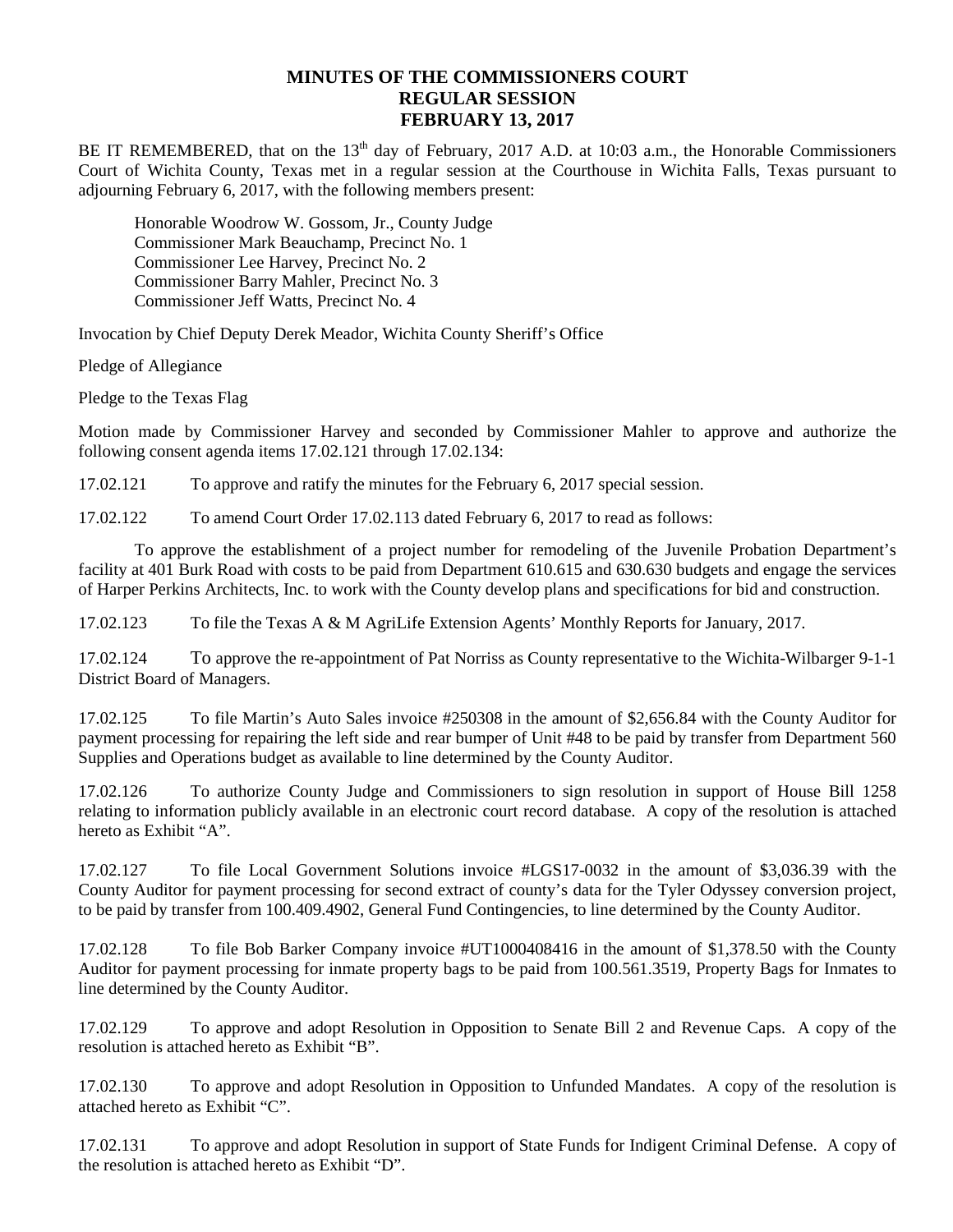## **MINUTES OF THE COMMISSIONERS COURT REGULAR SESSION FEBRUARY 13, 2017**

BE IT REMEMBERED, that on the 13<sup>th</sup> day of February, 2017 A.D. at 10:03 a.m., the Honorable Commissioners Court of Wichita County, Texas met in a regular session at the Courthouse in Wichita Falls, Texas pursuant to adjourning February 6, 2017, with the following members present:

Honorable Woodrow W. Gossom, Jr., County Judge Commissioner Mark Beauchamp, Precinct No. 1 Commissioner Lee Harvey, Precinct No. 2 Commissioner Barry Mahler, Precinct No. 3 Commissioner Jeff Watts, Precinct No. 4

Invocation by Chief Deputy Derek Meador, Wichita County Sheriff's Office

Pledge of Allegiance

Pledge to the Texas Flag

Motion made by Commissioner Harvey and seconded by Commissioner Mahler to approve and authorize the following consent agenda items 17.02.121 through 17.02.134:

17.02.121 To approve and ratify the minutes for the February 6, 2017 special session.

17.02.122 To amend Court Order 17.02.113 dated February 6, 2017 to read as follows:

To approve the establishment of a project number for remodeling of the Juvenile Probation Department's facility at 401 Burk Road with costs to be paid from Department 610.615 and 630.630 budgets and engage the services of Harper Perkins Architects, Inc. to work with the County develop plans and specifications for bid and construction.

17.02.123 To file the Texas A & M AgriLife Extension Agents' Monthly Reports for January, 2017.

17.02.124 To approve the re-appointment of Pat Norriss as County representative to the Wichita-Wilbarger 9-1-1 District Board of Managers.

17.02.125 To file Martin's Auto Sales invoice #250308 in the amount of \$2,656.84 with the County Auditor for payment processing for repairing the left side and rear bumper of Unit #48 to be paid by transfer from Department 560 Supplies and Operations budget as available to line determined by the County Auditor.

17.02.126 To authorize County Judge and Commissioners to sign resolution in support of House Bill 1258 relating to information publicly available in an electronic court record database. A copy of the resolution is attached hereto as Exhibit "A".

17.02.127 To file Local Government Solutions invoice #LGS17-0032 in the amount of \$3,036.39 with the County Auditor for payment processing for second extract of county's data for the Tyler Odyssey conversion project, to be paid by transfer from 100.409.4902, General Fund Contingencies, to line determined by the County Auditor.

17.02.128 To file Bob Barker Company invoice #UT1000408416 in the amount of \$1,378.50 with the County Auditor for payment processing for inmate property bags to be paid from 100.561.3519, Property Bags for Inmates to line determined by the County Auditor.

17.02.129 To approve and adopt Resolution in Opposition to Senate Bill 2 and Revenue Caps. A copy of the resolution is attached hereto as Exhibit "B".

17.02.130 To approve and adopt Resolution in Opposition to Unfunded Mandates. A copy of the resolution is attached hereto as Exhibit "C".

17.02.131 To approve and adopt Resolution in support of State Funds for Indigent Criminal Defense. A copy of the resolution is attached hereto as Exhibit "D".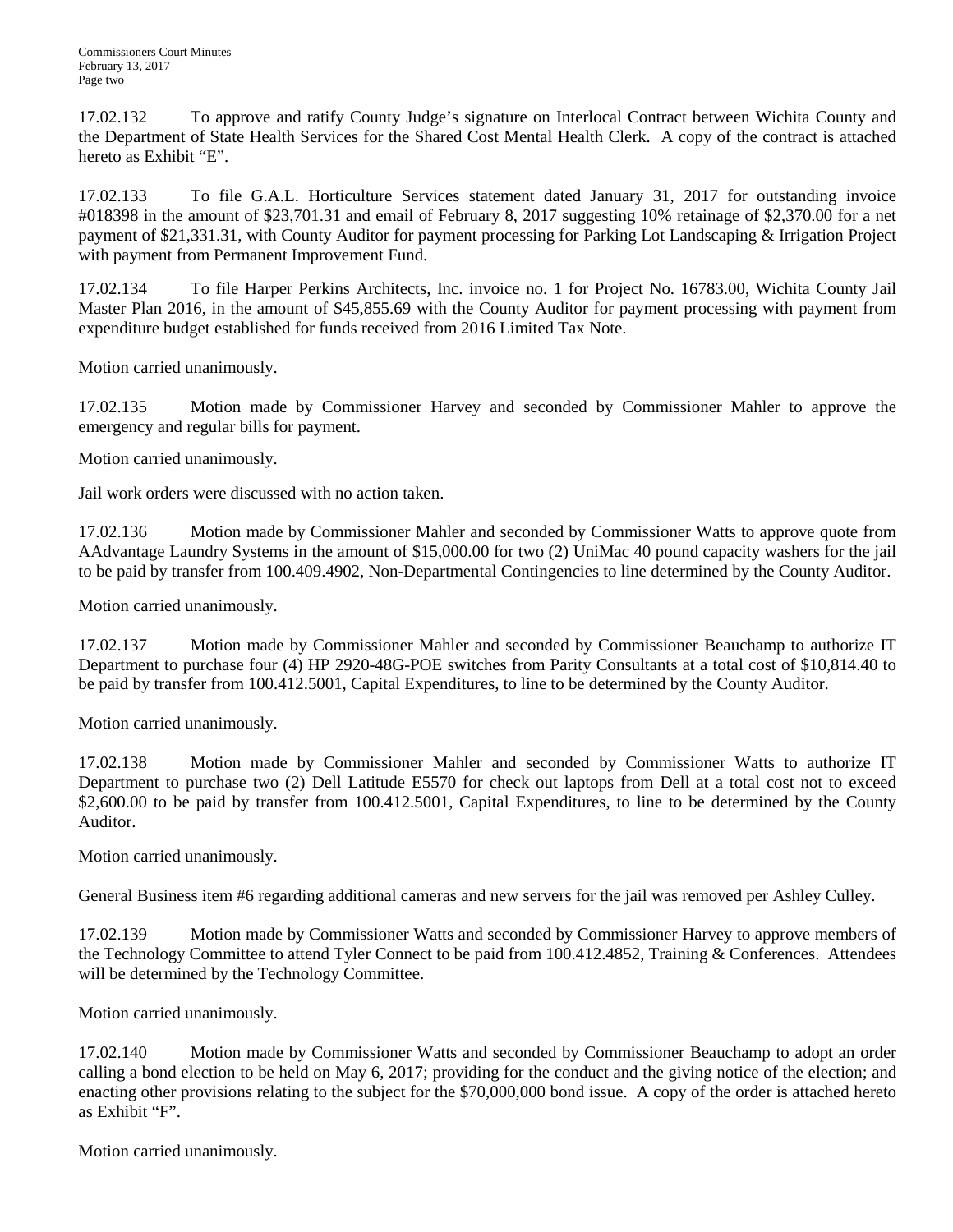17.02.132 To approve and ratify County Judge's signature on Interlocal Contract between Wichita County and the Department of State Health Services for the Shared Cost Mental Health Clerk. A copy of the contract is attached hereto as Exhibit "E".

17.02.133 To file G.A.L. Horticulture Services statement dated January 31, 2017 for outstanding invoice #018398 in the amount of \$23,701.31 and email of February 8, 2017 suggesting 10% retainage of \$2,370.00 for a net payment of \$21,331.31, with County Auditor for payment processing for Parking Lot Landscaping & Irrigation Project with payment from Permanent Improvement Fund.

17.02.134 To file Harper Perkins Architects, Inc. invoice no. 1 for Project No. 16783.00, Wichita County Jail Master Plan 2016, in the amount of \$45,855.69 with the County Auditor for payment processing with payment from expenditure budget established for funds received from 2016 Limited Tax Note.

Motion carried unanimously.

17.02.135 Motion made by Commissioner Harvey and seconded by Commissioner Mahler to approve the emergency and regular bills for payment.

Motion carried unanimously.

Jail work orders were discussed with no action taken.

17.02.136 Motion made by Commissioner Mahler and seconded by Commissioner Watts to approve quote from AAdvantage Laundry Systems in the amount of \$15,000.00 for two (2) UniMac 40 pound capacity washers for the jail to be paid by transfer from 100.409.4902, Non-Departmental Contingencies to line determined by the County Auditor.

Motion carried unanimously.

17.02.137 Motion made by Commissioner Mahler and seconded by Commissioner Beauchamp to authorize IT Department to purchase four (4) HP 2920-48G-POE switches from Parity Consultants at a total cost of \$10,814.40 to be paid by transfer from 100.412.5001, Capital Expenditures, to line to be determined by the County Auditor.

Motion carried unanimously.

17.02.138 Motion made by Commissioner Mahler and seconded by Commissioner Watts to authorize IT Department to purchase two (2) Dell Latitude E5570 for check out laptops from Dell at a total cost not to exceed \$2,600.00 to be paid by transfer from 100.412.5001, Capital Expenditures, to line to be determined by the County Auditor.

Motion carried unanimously.

General Business item #6 regarding additional cameras and new servers for the jail was removed per Ashley Culley.

17.02.139 Motion made by Commissioner Watts and seconded by Commissioner Harvey to approve members of the Technology Committee to attend Tyler Connect to be paid from 100.412.4852, Training & Conferences. Attendees will be determined by the Technology Committee.

Motion carried unanimously.

17.02.140 Motion made by Commissioner Watts and seconded by Commissioner Beauchamp to adopt an order calling a bond election to be held on May 6, 2017; providing for the conduct and the giving notice of the election; and enacting other provisions relating to the subject for the \$70,000,000 bond issue. A copy of the order is attached hereto as Exhibit "F".

Motion carried unanimously.